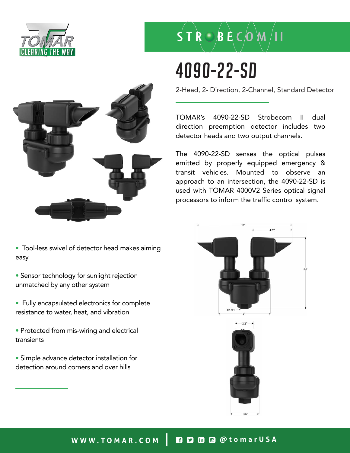

# $S T R \bigcirc B E C$   $(M / 11$

## 4090-22-SD

2-Head, 2- Direction, 2-Channel, Standard Detector

TOMAR's 4090-22-SD Strobecom II dual direction preemption detector includes two detector heads and two output channels.

The 4090-22-SD senses the optical pulses emitted by properly equipped emergency & transit vehicles. Mounted to observe an approach to an intersection, the 4090-22-SD is used with TOMAR 4000V2 Series optical signal processors to inform the traffic control system.







• Tool-less swivel of detector head makes aiming easy

• Sensor technology for sunlight rejection unmatched by any other system

• Fully encapsulated electronics for complete resistance to water, heat, and vibration

• Protected from mis-wiring and electrical transients

• Simple advance detector installation for detection around corners and over hills

### WWW.TOMAR.COM | **0000** @ @tomarUSA